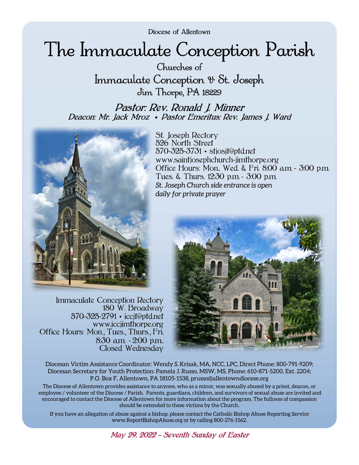Diocese of Allentown

# The Immaculate Conception Parish

Churches of Immaculate Conception & St. Joseph Jim Thorpe, PA 18229

Pastor: Rev. Ronald J. Minner Deacon: Mr. Jack Mroz • Pastor Emeritus: Rev. James J. Ward



Immaculate Conception Rectory 180 W. Broadway 570-325-2791 • iccjt@ptd.net www.iccjimthorpe.org Office Hours: Mon., Tues., Thurs., Fri, 8:30 a.m. - 2:00 p.m., Closed Wednesday

St. Joseph Rectory 526 North Street 570-325-3731 • stjosjt@ptd.net www.saintjosephchurch-jimthorpe.org Office Hours: Mon., Wed. & Fri. 8:00 a.m. - 3:00 p.m. Tues. & Thurs. 12:30 p.m. - 3:00 p.m. *St. Joseph Church side entrance is open daily for private prayer* 



Diocesan Victim Assistance Coordinator: Wendy S. Krisak, MA, NCC, LPC, Direct Phone: 800-791-9209; Diocesan Secretary for Youth Protection: Pamela J. Russo, MSW, MS, Phone: 610-871-5200, Ext. 2204; P.O. Box F, Allentown, PA 18105-1538, prusso@allentowndiocese.org

The Diocese of Allentown provides assistance to anyone, who as a minor, was sexually abused by a priest, deacon, or employee / volunteer of the Diocese / Parish. Parents, guardians, children, and survivors of sexual abuse are invited and encouraged to contact the Diocese of Allentown for more information about the program. The fullness of compassion should be extended to these victims by the Church.

If you have an allegation of abuse against a bishop, please contact the Catholic Bishop Abuse Reporting Service www.ReportBishopAbuse.org or by calling 800-276-1562.

May 29, 2022 *~* Seventh Sunday of Easter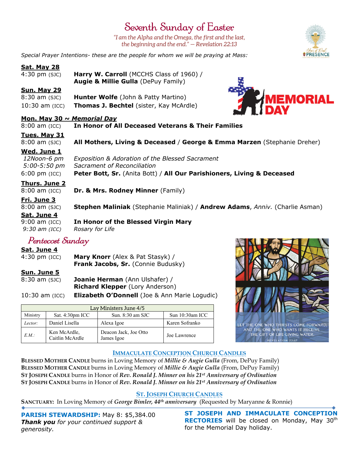## Seventh Sunday of Easter

*"I am the Alpha and the Omega, the first and the last, the beginning and the end." — Revelation 22:13* 

*Special Prayer Intentions- these are the people for whom we will be praying at Mass:*

#### **Sat. May 28**

| 4:30 pm (sJC) | Harry W. Carroll (MCCHS Class of 1960) /       |
|---------------|------------------------------------------------|
|               | <b>Augie &amp; Millie Gulla</b> (DePuy Family) |

#### **Sun. May 29**

8:30 am (SJC) **Hunter Wolfe** (John & Patty Martino) 10:30 am (ICC) **Thomas J. Bechtel** (sister, Kay McArdle)

#### **Mon. May 30** *~ Memorial Day*

8:00 am (ICC) **In Honor of All Deceased Veterans & Their Families**

#### **Tues. May 31**

#### 8:00 am (SJC) **All Mothers, Living & Deceased** / **George & Emma Marzen** (Stephanie Dreher)

#### **Wed. June 1**

 *12Noon-6 pm Exposition & Adoration of the Blessed Sacrament 5:00-5:50 pm Sacrament of Reconciliation*  6:00 pm (ICC) **Peter Bott, Sr.** (Anita Bott) / **All Our Parishioners, Living & Deceased**

#### **Thurs. June 2**

8:00 am (ICC) **Dr. & Mrs. Rodney Minner** (Family)

#### **Fri. June 3**

8:00 am (SJC) **Stephen Maliniak** (Stephanie Maliniak) / **Andrew Adams**, *Anniv.* (Charlie Asman) **Sat. June 4**  9:00 am (ICC) **In Honor of the Blessed Virgin Mary** 

*9:30 am (ICC) Rosary for Life* 

### Pentecost Sunday

**Sat. June 4**

4:30 pm (ICC) **Mary Knorr** (Alex & Pat Stasyk) / **Frank Jacobs, Sr.** (Connie Budusky)

#### **Sun. June 5**

8:30 am (SJC) **Joanie Herman** (Ann Ulshafer) / **Richard Klepper** (Lory Anderson)

10:30 am (ICC) **Elizabeth O'Donnell** (Joe & Ann Marie Logudic)

| Lay Ministers June 4/5 |                                 |                                     |                 |  |
|------------------------|---------------------------------|-------------------------------------|-----------------|--|
| Ministry               | Sat. 4:30pm ICC                 | Sun. $8:30$ am SJC                  | Sun 10:30am ICC |  |
| Lector:                | Daniel Lisella                  | Alexa Igoe                          | Karen Sofranko  |  |
| EM:                    | Ken McArdle,<br>Caitlin McArdle | Deacon Jack, Joe Otto<br>James Igoe | Joe Lawrence    |  |



#### **IMMACULATE CONCEPTION CHURCH CANDLES**

**BLESSED MOTHER CANDLE** burns in Loving Memory of *Millie & Augie Gulla* (From, DePuy Family) **BLESSED MOTHER CANDLE** burns in Loving Memory of *Millie & Augie Gulla* (From, DePuy Family) **ST JOSEPH CANDLE** burns in Honor of *Rev. Ronald J. Minner on his 21st Anniversary of Ordination*  **ST JOSEPH CANDLE** burns in Honor of *Rev. Ronald J. Minner on his 21st Anniversary of Ordination* 

#### **ST. JOSEPH CHURCH CANDLES**

**SANCTUARY:** In Loving Memory of *George Bimler, 44th anniversary* (Requested by Maryanne & Ronnie)

**PARISH STEWARDSHIP:** May 8: \$5,384.00 *Thank you for your continued support & generosity.* 

**ST JOSEPH AND IMMACULATE CONCEPTION RECTORIES** will be closed on Monday, May 30<sup>th</sup> for the Memorial Day holiday.